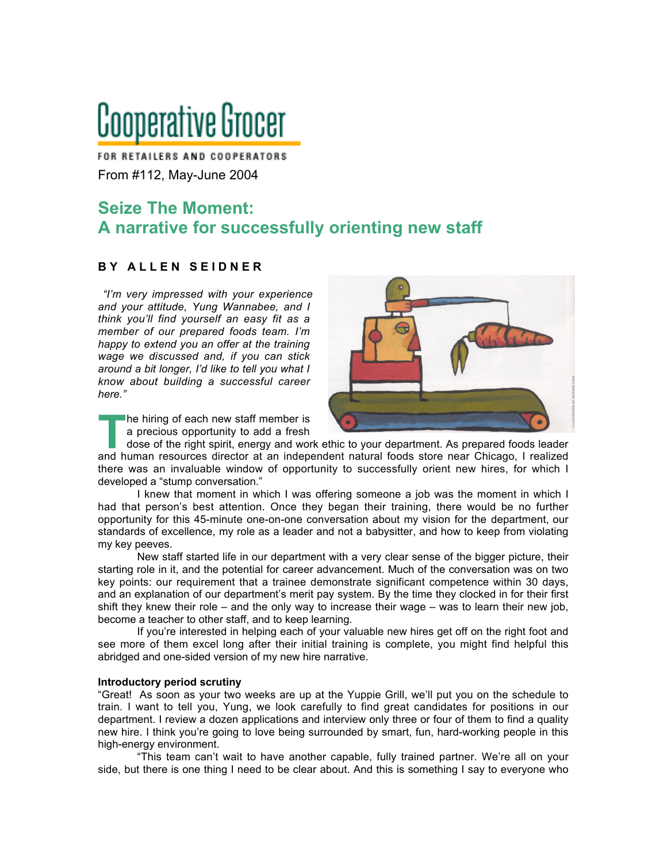# Cooperative Grocer

FOR RETAILERS AND COOPERATORS From #112, May-June 2004

## **Seize The Moment: A narrative for successfully orienting new staff**

### **B Y A L L E N S E I D N E R**

*"I'm very impressed with your experience and your attitude, Yung Wannabee, and I think you'll find yourself an easy fit as a member of our prepared foods team. I'm happy to extend you an offer at the training wage we discussed and, if you can stick around a bit longer, I'd like to tell you what I know about building a successful career here."*

he hiring of each new staff member is a precious opportunity to add a fresh

dose of the right spirit, energy and work ethic to your department. As prepared foods leader The hiring of each new staff member is<br>
a precious opportunity to add a fresh<br>
dose of the right spirit, energy and work ethic to your department. As prepared foods leader<br>
and human resources director at an independent na there was an invaluable window of opportunity to successfully orient new hires, for which I developed a "stump conversation."

I knew that moment in which I was offering someone a job was the moment in which I had that person's best attention. Once they began their training, there would be no further opportunity for this 45-minute one-on-one conversation about my vision for the department, our standards of excellence, my role as a leader and not a babysitter, and how to keep from violating my key peeves.

New staff started life in our department with a very clear sense of the bigger picture, their starting role in it, and the potential for career advancement. Much of the conversation was on two key points: our requirement that a trainee demonstrate significant competence within 30 days, and an explanation of our department's merit pay system. By the time they clocked in for their first shift they knew their role – and the only way to increase their wage – was to learn their new job, become a teacher to other staff, and to keep learning.

If you're interested in helping each of your valuable new hires get off on the right foot and see more of them excel long after their initial training is complete, you might find helpful this abridged and one-sided version of my new hire narrative.

#### **Introductory period scrutiny**

"Great! As soon as your two weeks are up at the Yuppie Grill, we'll put you on the schedule to train. I want to tell you, Yung, we look carefully to find great candidates for positions in our department. I review a dozen applications and interview only three or four of them to find a quality new hire. I think you're going to love being surrounded by smart, fun, hard-working people in this high-energy environment.

"This team can't wait to have another capable, fully trained partner. We're all on your side, but there is one thing I need to be clear about. And this is something I say to everyone who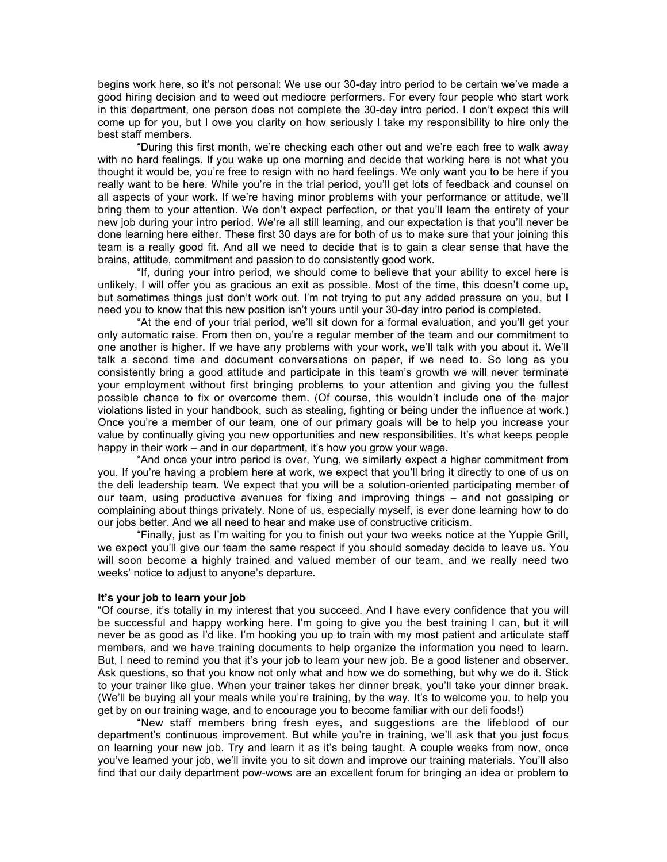begins work here, so it's not personal: We use our 30-day intro period to be certain we've made a good hiring decision and to weed out mediocre performers. For every four people who start work in this department, one person does not complete the 30-day intro period. I don't expect this will come up for you, but I owe you clarity on how seriously I take my responsibility to hire only the best staff members.

"During this first month, we're checking each other out and we're each free to walk away with no hard feelings. If you wake up one morning and decide that working here is not what you thought it would be, you're free to resign with no hard feelings. We only want you to be here if you really want to be here. While you're in the trial period, you'll get lots of feedback and counsel on all aspects of your work. If we're having minor problems with your performance or attitude, we'll bring them to your attention. We don't expect perfection, or that you'll learn the entirety of your new job during your intro period. We're all still learning, and our expectation is that you'll never be done learning here either. These first 30 days are for both of us to make sure that your joining this team is a really good fit. And all we need to decide that is to gain a clear sense that have the brains, attitude, commitment and passion to do consistently good work.

"If, during your intro period, we should come to believe that your ability to excel here is unlikely, I will offer you as gracious an exit as possible. Most of the time, this doesn't come up, but sometimes things just don't work out. I'm not trying to put any added pressure on you, but I need you to know that this new position isn't yours until your 30-day intro period is completed.

"At the end of your trial period, we'll sit down for a formal evaluation, and you'll get your only automatic raise. From then on, you're a regular member of the team and our commitment to one another is higher. If we have any problems with your work, we'll talk with you about it. We'll talk a second time and document conversations on paper, if we need to. So long as you consistently bring a good attitude and participate in this team's growth we will never terminate your employment without first bringing problems to your attention and giving you the fullest possible chance to fix or overcome them. (Of course, this wouldn't include one of the major violations listed in your handbook, such as stealing, fighting or being under the influence at work.) Once you're a member of our team, one of our primary goals will be to help you increase your value by continually giving you new opportunities and new responsibilities. It's what keeps people happy in their work – and in our department, it's how you grow your wage.

"And once your intro period is over, Yung, we similarly expect a higher commitment from you. If you're having a problem here at work, we expect that you'll bring it directly to one of us on the deli leadership team. We expect that you will be a solution-oriented participating member of our team, using productive avenues for fixing and improving things – and not gossiping or complaining about things privately. None of us, especially myself, is ever done learning how to do our jobs better. And we all need to hear and make use of constructive criticism.

"Finally, just as I'm waiting for you to finish out your two weeks notice at the Yuppie Grill, we expect you'll give our team the same respect if you should someday decide to leave us. You will soon become a highly trained and valued member of our team, and we really need two weeks' notice to adjust to anyone's departure.

#### **It's your job to learn your job**

"Of course, it's totally in my interest that you succeed. And I have every confidence that you will be successful and happy working here. I'm going to give you the best training I can, but it will never be as good as I'd like. I'm hooking you up to train with my most patient and articulate staff members, and we have training documents to help organize the information you need to learn. But, I need to remind you that it's your job to learn your new job. Be a good listener and observer. Ask questions, so that you know not only what and how we do something, but why we do it. Stick to your trainer like glue. When your trainer takes her dinner break, you'll take your dinner break. (We'll be buying all your meals while you're training, by the way. It's to welcome you, to help you get by on our training wage, and to encourage you to become familiar with our deli foods!)

"New staff members bring fresh eyes, and suggestions are the lifeblood of our department's continuous improvement. But while you're in training, we'll ask that you just focus on learning your new job. Try and learn it as it's being taught. A couple weeks from now, once you've learned your job, we'll invite you to sit down and improve our training materials. You'll also find that our daily department pow-wows are an excellent forum for bringing an idea or problem to